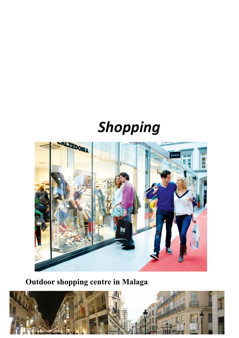# *Shopping*



**Outdoor shopping centre in Malaga**

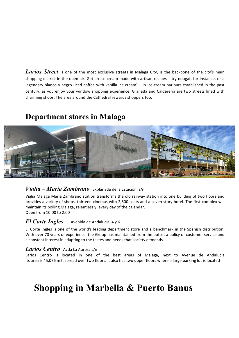Larios Street is one of the most exclusive streets in Málaga City, is the backbone of the city's main shopping district in the open air. Get an ice-cream made with artisan recipes – try nougat, for instance, or a legendary blanco y negro (iced coffee with vanilla ice-cream) – in ice-cream parlours established in the past century, as you enjoy your window shopping experience. Granada and Calderería are two streets lined with charming shops. The area around the Cathedral rewards shoppers too.

### **Department stores in Malaga**



#### *Vialia – Maria Zambrano* Explanada de la Estación, s/n

Vialia Málaga María Zambrano station transforms the old railway station into one building of two floors and provides a variety of shops, thirteen cinemas with 2,500 seats and a seven-story hotel. The first complex will maintain its boiling Malaga, relentlessly, every day of the calendar. Open from 10:00 to 2:00

#### *El Corte Ingles* Avenida de Andalucía, 4 y 6

El Corte Ingles is one of the world's leading department store and a benchmark in the Spanish distribution. With over 70 years of experience, the Group has maintained from the outset a policy of customer service and a constant interest in adapting to the tastes and needs that society demands.

#### *Larios Centro* Ayda La Aurora s/n

Larios Centro is located in one of the best areas of Malaga, next to Avenue de Andalucía Its area is 45,076 m2, spread over two floors. It also has two upper floors where a large parking lot is located

## **Shopping in Marbella & Puerto Banus**